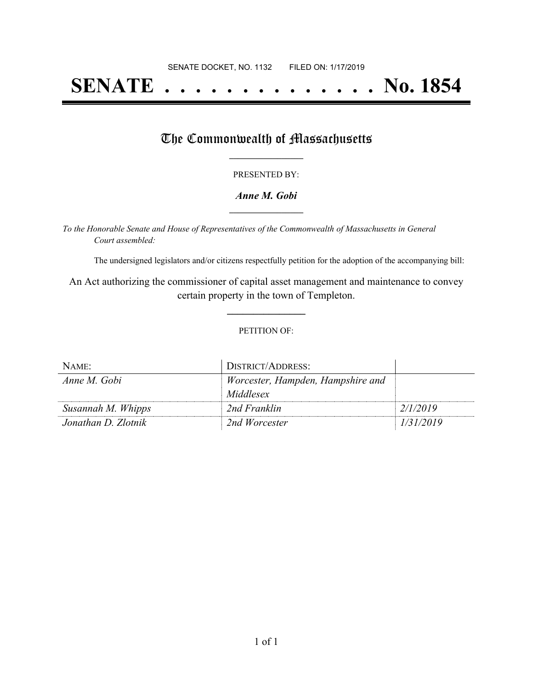# **SENATE . . . . . . . . . . . . . . No. 1854**

### The Commonwealth of Massachusetts

#### PRESENTED BY:

#### *Anne M. Gobi* **\_\_\_\_\_\_\_\_\_\_\_\_\_\_\_\_\_**

*To the Honorable Senate and House of Representatives of the Commonwealth of Massachusetts in General Court assembled:*

The undersigned legislators and/or citizens respectfully petition for the adoption of the accompanying bill:

An Act authorizing the commissioner of capital asset management and maintenance to convey certain property in the town of Templeton.

**\_\_\_\_\_\_\_\_\_\_\_\_\_\_\_**

#### PETITION OF:

| NAME:               | DISTRICT/ADDRESS:                 |           |
|---------------------|-----------------------------------|-----------|
| Anne M. Gobi        | Worcester, Hampden, Hampshire and |           |
|                     | Middlesex                         |           |
| Susannah M. Whipps  | 2nd Franklin                      | 2/1/2019  |
| Jonathan D. Zlotnik | 2nd Worcester                     | 1/31/2019 |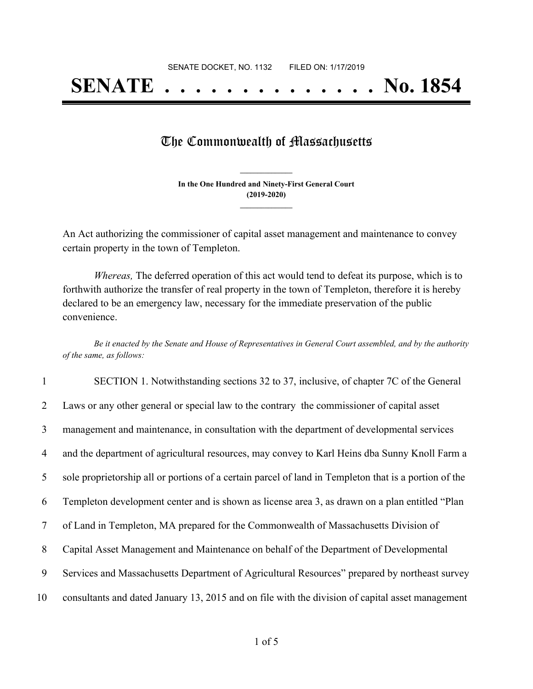# **SENATE . . . . . . . . . . . . . . No. 1854**

### The Commonwealth of Massachusetts

**In the One Hundred and Ninety-First General Court (2019-2020) \_\_\_\_\_\_\_\_\_\_\_\_\_\_\_**

**\_\_\_\_\_\_\_\_\_\_\_\_\_\_\_**

An Act authorizing the commissioner of capital asset management and maintenance to convey certain property in the town of Templeton.

*Whereas,* The deferred operation of this act would tend to defeat its purpose, which is to forthwith authorize the transfer of real property in the town of Templeton, therefore it is hereby declared to be an emergency law, necessary for the immediate preservation of the public convenience.

Be it enacted by the Senate and House of Representatives in General Court assembled, and by the authority *of the same, as follows:*

|                | SECTION 1. Notwithstanding sections 32 to 37, inclusive, of chapter 7C of the General                 |
|----------------|-------------------------------------------------------------------------------------------------------|
| 2              | Laws or any other general or special law to the contrary the commissioner of capital asset            |
| 3              | management and maintenance, in consultation with the department of developmental services             |
| $\overline{4}$ | and the department of agricultural resources, may convey to Karl Heins dba Sunny Knoll Farm a         |
| 5              | sole proprietorship all or portions of a certain parcel of land in Templeton that is a portion of the |
| 6              | Templeton development center and is shown as license area 3, as drawn on a plan entitled "Plan        |
| 7              | of Land in Templeton, MA prepared for the Commonwealth of Massachusetts Division of                   |
| 8              | Capital Asset Management and Maintenance on behalf of the Department of Developmental                 |
| 9              | Services and Massachusetts Department of Agricultural Resources" prepared by northeast survey         |
| 10             | consultants and dated January 13, 2015 and on file with the division of capital asset management      |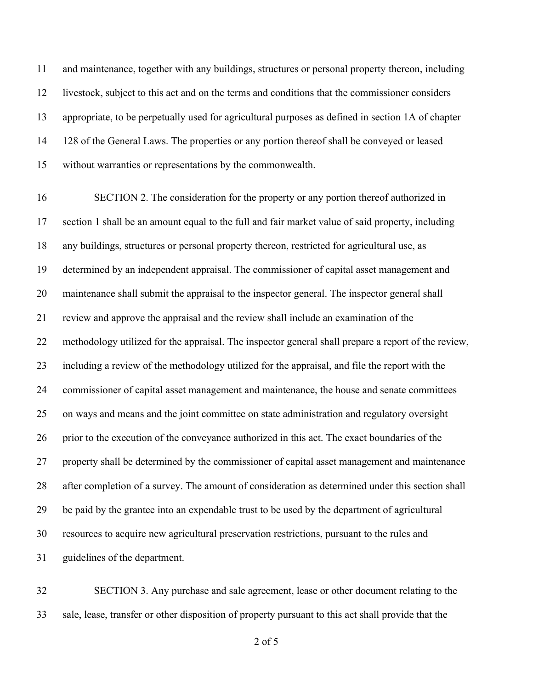and maintenance, together with any buildings, structures or personal property thereon, including livestock, subject to this act and on the terms and conditions that the commissioner considers appropriate, to be perpetually used for agricultural purposes as defined in section 1A of chapter 128 of the General Laws. The properties or any portion thereof shall be conveyed or leased without warranties or representations by the commonwealth.

 SECTION 2. The consideration for the property or any portion thereof authorized in section 1 shall be an amount equal to the full and fair market value of said property, including any buildings, structures or personal property thereon, restricted for agricultural use, as determined by an independent appraisal. The commissioner of capital asset management and maintenance shall submit the appraisal to the inspector general. The inspector general shall review and approve the appraisal and the review shall include an examination of the methodology utilized for the appraisal. The inspector general shall prepare a report of the review, including a review of the methodology utilized for the appraisal, and file the report with the commissioner of capital asset management and maintenance, the house and senate committees on ways and means and the joint committee on state administration and regulatory oversight 26 prior to the execution of the conveyance authorized in this act. The exact boundaries of the property shall be determined by the commissioner of capital asset management and maintenance after completion of a survey. The amount of consideration as determined under this section shall be paid by the grantee into an expendable trust to be used by the department of agricultural resources to acquire new agricultural preservation restrictions, pursuant to the rules and guidelines of the department.

 SECTION 3. Any purchase and sale agreement, lease or other document relating to the sale, lease, transfer or other disposition of property pursuant to this act shall provide that the

of 5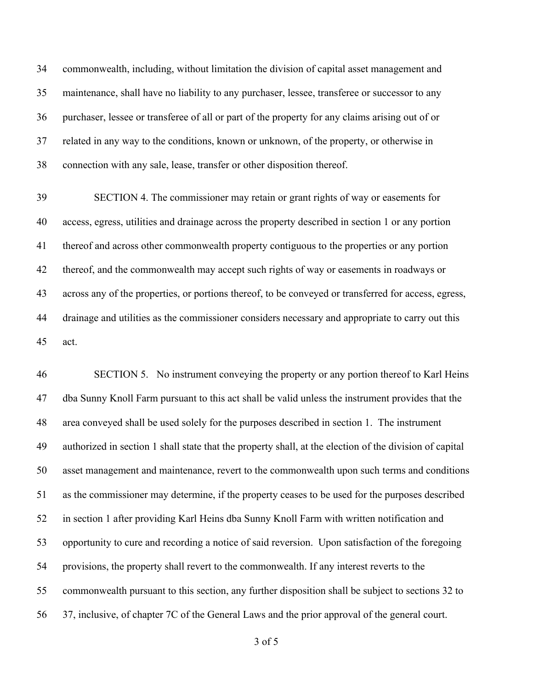commonwealth, including, without limitation the division of capital asset management and maintenance, shall have no liability to any purchaser, lessee, transferee or successor to any purchaser, lessee or transferee of all or part of the property for any claims arising out of or related in any way to the conditions, known or unknown, of the property, or otherwise in connection with any sale, lease, transfer or other disposition thereof.

 SECTION 4. The commissioner may retain or grant rights of way or easements for access, egress, utilities and drainage across the property described in section 1 or any portion thereof and across other commonwealth property contiguous to the properties or any portion thereof, and the commonwealth may accept such rights of way or easements in roadways or across any of the properties, or portions thereof, to be conveyed or transferred for access, egress, drainage and utilities as the commissioner considers necessary and appropriate to carry out this act.

 SECTION 5. No instrument conveying the property or any portion thereof to Karl Heins dba Sunny Knoll Farm pursuant to this act shall be valid unless the instrument provides that the area conveyed shall be used solely for the purposes described in section 1. The instrument authorized in section 1 shall state that the property shall, at the election of the division of capital asset management and maintenance, revert to the commonwealth upon such terms and conditions as the commissioner may determine, if the property ceases to be used for the purposes described in section 1 after providing Karl Heins dba Sunny Knoll Farm with written notification and opportunity to cure and recording a notice of said reversion. Upon satisfaction of the foregoing provisions, the property shall revert to the commonwealth. If any interest reverts to the commonwealth pursuant to this section, any further disposition shall be subject to sections 32 to 37, inclusive, of chapter 7C of the General Laws and the prior approval of the general court.

of 5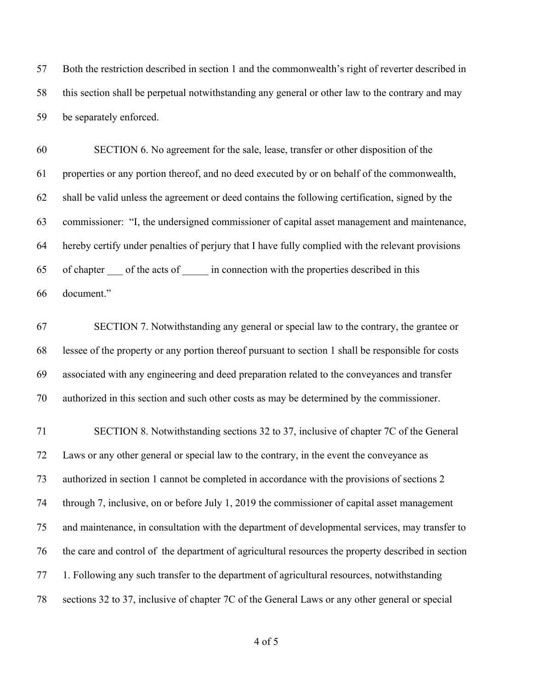Both the restriction described in section 1 and the commonwealth's right of reverter described in this section shall be perpetual notwithstanding any general or other law to the contrary and may be separately enforced.

 SECTION 6. No agreement for the sale, lease, transfer or other disposition of the properties or any portion thereof, and no deed executed by or on behalf of the commonwealth, shall be valid unless the agreement or deed contains the following certification, signed by the commissioner: "I, the undersigned commissioner of capital asset management and maintenance, hereby certify under penalties of perjury that I have fully complied with the relevant provisions 65 of chapter of the acts of in connection with the properties described in this document."

 SECTION 7. Notwithstanding any general or special law to the contrary, the grantee or lessee of the property or any portion thereof pursuant to section 1 shall be responsible for costs associated with any engineering and deed preparation related to the conveyances and transfer authorized in this section and such other costs as may be determined by the commissioner.

 SECTION 8. Notwithstanding sections 32 to 37, inclusive of chapter 7C of the General Laws or any other general or special law to the contrary, in the event the conveyance as authorized in section 1 cannot be completed in accordance with the provisions of sections 2 through 7, inclusive, on or before July 1, 2019 the commissioner of capital asset management and maintenance, in consultation with the department of developmental services, may transfer to the care and control of the department of agricultural resources the property described in section 1. Following any such transfer to the department of agricultural resources, notwithstanding sections 32 to 37, inclusive of chapter 7C of the General Laws or any other general or special

of 5